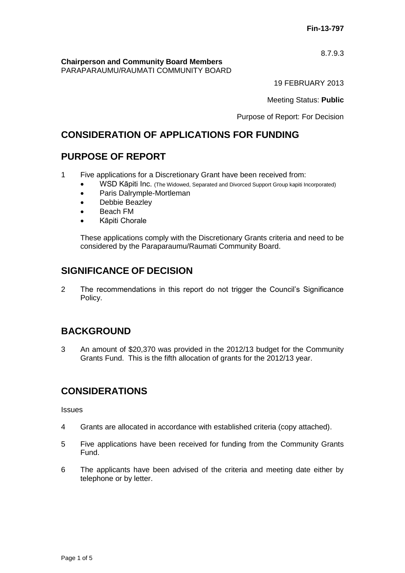8.7.9.3

**Chairperson and Community Board Members** PARAPARAUMU/RAUMATI COMMUNITY BOARD

19 FEBRUARY 2013

Meeting Status: **Public**

Purpose of Report: For Decision

## **CONSIDERATION OF APPLICATIONS FOR FUNDING**

### **PURPOSE OF REPORT**

- 1 Five applications for a Discretionary Grant have been received from:
	- WSD Kāpiti Inc. (The Widowed, Separated and Divorced Support Group kapiti Incorporated)
	- Paris Dalrymple-Mortleman
	- Debbie Beazley
	- Beach FM
	- Kāpiti Chorale

These applications comply with the Discretionary Grants criteria and need to be considered by the Paraparaumu/Raumati Community Board.

### **SIGNIFICANCE OF DECISION**

2 The recommendations in this report do not trigger the Council's Significance Policy.

### **BACKGROUND**

3 An amount of \$20,370 was provided in the 2012/13 budget for the Community Grants Fund. This is the fifth allocation of grants for the 2012/13 year.

### **CONSIDERATIONS**

**Issues** 

- 4 Grants are allocated in accordance with established criteria (copy attached).
- 5 Five applications have been received for funding from the Community Grants Fund.
- 6 The applicants have been advised of the criteria and meeting date either by telephone or by letter.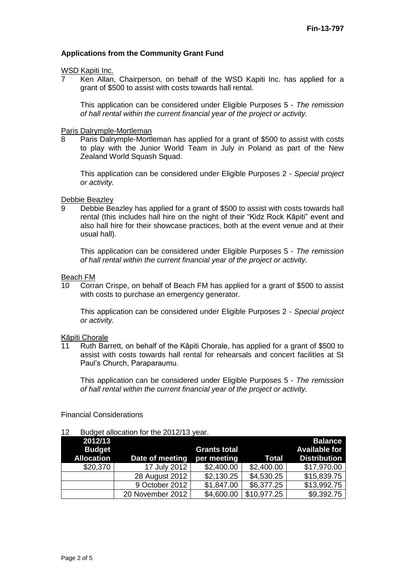#### **Applications from the Community Grant Fund**

# WSD Kapiti Inc.<br>7 Ken Allan

Ken Allan, Chairperson, on behalf of the WSD Kapiti Inc. has applied for a grant of \$500 to assist with costs towards hall rental.

This application can be considered under Eligible Purposes 5 - *The remission of hall rental within the current financial year of the project or activity.*

#### Paris Dalrymple-Mortleman

8 Paris Dalrymple-Mortleman has applied for a grant of \$500 to assist with costs to play with the Junior World Team in July in Poland as part of the New Zealand World Squash Squad.

This application can be considered under Eligible Purposes 2 - *Special project or activity.*

# Debbie Beazley<br>9 Debbie Be

Debbie Beazley has applied for a grant of \$500 to assist with costs towards hall rental (this includes hall hire on the night of their "Kidz Rock Kāpiti" event and also hall hire for their showcase practices, both at the event venue and at their usual hall).

This application can be considered under Eligible Purposes 5 - *The remission of hall rental within the current financial year of the project or activity.*

#### Beach FM

10 Corran Crispe, on behalf of Beach FM has applied for a grant of \$500 to assist with costs to purchase an emergency generator.

This application can be considered under Eligible Purposes 2 - *Special project or activity.*

#### Kāpiti Chorale

11 Ruth Barrett, on behalf of the Kāpiti Chorale, has applied for a grant of \$500 to assist with costs towards hall rental for rehearsals and concert facilities at St Paul's Church, Paraparaumu.

This application can be considered under Eligible Purposes 5 - *The remission of hall rental within the current financial year of the project or activity.*

#### Financial Considerations

#### 12 Budget allocation for the 2012/13 year.

| 2012/13           |                  |                     |             | <b>Balance</b>       |
|-------------------|------------------|---------------------|-------------|----------------------|
| <b>Budget</b>     |                  | <b>Grants total</b> |             | <b>Available for</b> |
| <b>Allocation</b> | Date of meeting  | per meeting         | Total       | <b>Distribution</b>  |
| \$20,370          | 17 July 2012     | \$2,400.00          | \$2,400.00  | \$17,970.00          |
|                   | 28 August 2012   | \$2,130.25          | \$4,530.25  | \$15,839.75          |
|                   | 9 October 2012   | \$1,847.00          | \$6,377.25  | \$13,992.75          |
|                   | 20 November 2012 | \$4,600.00          | \$10,977.25 | \$9,392.75           |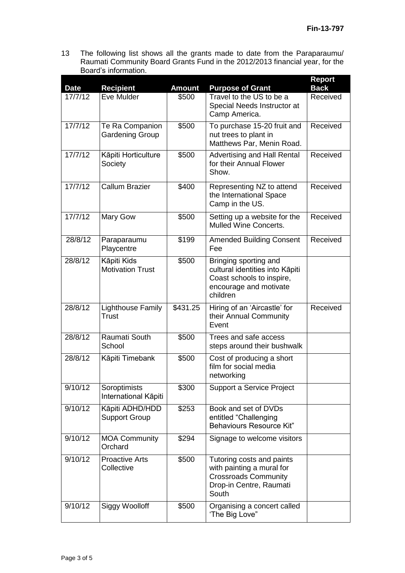13 The following list shows all the grants made to date from the Paraparaumu/ Raumati Community Board Grants Fund in the 2012/2013 financial year, for the Board's information.

| <b>Date</b> | <b>Recipient</b>                          | <b>Amount</b> | <b>Purpose of Grant</b>                                                                                                     | <b>Report</b><br><b>Back</b> |
|-------------|-------------------------------------------|---------------|-----------------------------------------------------------------------------------------------------------------------------|------------------------------|
| 17/7/12     | Eve Mulder                                | \$500         | Travel to the US to be a<br>Special Needs Instructor at<br>Camp America.                                                    | Received                     |
| 17/7/12     | Te Ra Companion<br><b>Gardening Group</b> | \$500         | To purchase 15-20 fruit and<br>nut trees to plant in<br>Matthews Par, Menin Road.                                           | Received                     |
| 17/7/12     | Kāpiti Horticulture<br>Society            | \$500         | <b>Advertising and Hall Rental</b><br>for their Annual Flower<br>Show.                                                      | Received                     |
| 17/7/12     | <b>Callum Brazier</b>                     | \$400         | Representing NZ to attend<br>the International Space<br>Camp in the US.                                                     | Received                     |
| 17/7/12     | Mary Gow                                  | \$500         | Setting up a website for the<br><b>Mulled Wine Concerts.</b>                                                                | Received                     |
| 28/8/12     | Paraparaumu<br>Playcentre                 | \$199         | <b>Amended Building Consent</b><br>Fee                                                                                      | Received                     |
| 28/8/12     | Kāpiti Kids<br><b>Motivation Trust</b>    | \$500         | Bringing sporting and<br>cultural identities into Kāpiti<br>Coast schools to inspire,<br>encourage and motivate<br>children |                              |
| 28/8/12     | Lighthouse Family<br>Trust                | \$431.25      | Hiring of an 'Aircastle' for<br>their Annual Community<br>Event                                                             | Received                     |
| 28/8/12     | Raumati South<br>School                   | \$500         | Trees and safe access<br>steps around their bushwalk                                                                        |                              |
| 28/8/12     | Kāpiti Timebank                           | \$500         | Cost of producing a short<br>film for social media<br>networking                                                            |                              |
| 9/10/12     | Soroptimists<br>International Kāpiti      | \$300         | Support a Service Project                                                                                                   |                              |
| 9/10/12     | Kāpiti ADHD/HDD<br><b>Support Group</b>   | \$253         | Book and set of DVDs<br>entitled "Challenging<br>Behaviours Resource Kit"                                                   |                              |
| 9/10/12     | <b>MOA Community</b><br>Orchard           | \$294         | Signage to welcome visitors                                                                                                 |                              |
| 9/10/12     | <b>Proactive Arts</b><br>Collective       | \$500         | Tutoring costs and paints<br>with painting a mural for<br><b>Crossroads Community</b><br>Drop-in Centre, Raumati<br>South   |                              |
| 9/10/12     | Siggy Woolloff                            | \$500         | Organising a concert called<br>'The Big Love"                                                                               |                              |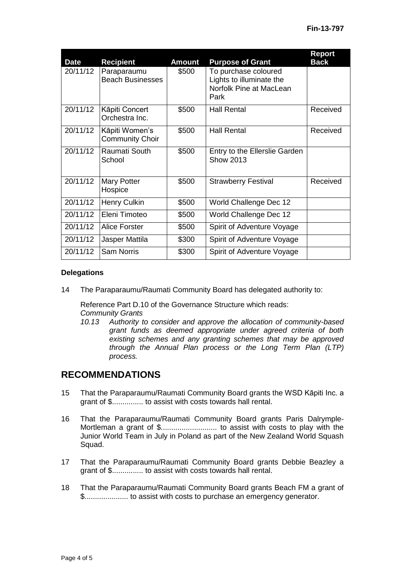| <b>Date</b> | <b>Recipient</b>                         | <b>Amount</b> | <b>Purpose of Grant</b>                                                             | <b>Report</b><br><b>Back</b> |
|-------------|------------------------------------------|---------------|-------------------------------------------------------------------------------------|------------------------------|
| 20/11/12    | Paraparaumu<br><b>Beach Businesses</b>   | \$500         | To purchase coloured<br>Lights to illuminate the<br>Norfolk Pine at MacLean<br>Park |                              |
| 20/11/12    | Kāpiti Concert<br>Orchestra Inc.         | \$500         | <b>Hall Rental</b>                                                                  | Received                     |
| 20/11/12    | Kāpiti Women's<br><b>Community Choir</b> | \$500         | <b>Hall Rental</b>                                                                  | Received                     |
| 20/11/12    | Raumati South<br>School                  | \$500         | Entry to the Ellerslie Garden<br><b>Show 2013</b>                                   |                              |
| 20/11/12    | <b>Mary Potter</b><br>Hospice            | \$500         | <b>Strawberry Festival</b>                                                          | Received                     |
| 20/11/12    | <b>Henry Culkin</b>                      | \$500         | World Challenge Dec 12                                                              |                              |
| 20/11/12    | Eleni Timoteo                            | \$500         | World Challenge Dec 12                                                              |                              |
| 20/11/12    | Alice Forster                            | \$500         | Spirit of Adventure Voyage                                                          |                              |
| 20/11/12    | Jasper Mattila                           | \$300         | Spirit of Adventure Voyage                                                          |                              |
| 20/11/12    | <b>Sam Norris</b>                        | \$300         | Spirit of Adventure Voyage                                                          |                              |

### **Delegations**

14 The Paraparaumu/Raumati Community Board has delegated authority to:

Reference Part D.10 of the Governance Structure which reads: *Community Grants*

*10.13 Authority to consider and approve the allocation of community-based grant funds as deemed appropriate under agreed criteria of both existing schemes and any granting schemes that may be approved through the Annual Plan process or the Long Term Plan (LTP) process.*

### **RECOMMENDATIONS**

- 15 That the Paraparaumu/Raumati Community Board grants the WSD Kāpiti Inc. a grant of \$............... to assist with costs towards hall rental.
- 16 That the Paraparaumu/Raumati Community Board grants Paris Dalrymple-Mortleman a grant of \$........................... to assist with costs to play with the Junior World Team in July in Poland as part of the New Zealand World Squash Squad.
- 17 That the Paraparaumu/Raumati Community Board grants Debbie Beazley a grant of \$............... to assist with costs towards hall rental.
- 18 That the Paraparaumu/Raumati Community Board grants Beach FM a grant of \$..................... to assist with costs to purchase an emergency generator.